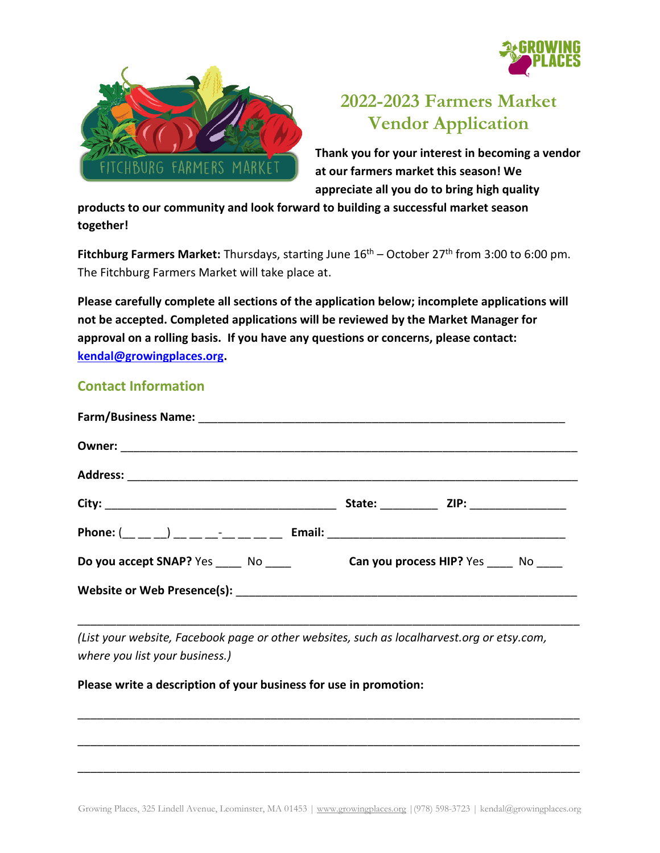



# **2022-2023 Farmers Market Vendor Application**

**Thank you for your interest in becoming a vendor at our farmers market this season! We appreciate all you do to bring high quality** 

**products to our community and look forward to building a successful market season together!** 

**Fitchburg Farmers Market:** Thursdays, starting June  $16<sup>th</sup>$  – October 27<sup>th</sup> from 3:00 to 6:00 pm. The Fitchburg Farmers Market will take place at.

**Please carefully complete all sections of the application below; incomplete applications will not be accepted. Completed applications will be reviewed by the Market Manager for approval on a rolling basis. If you have any questions or concerns, please contact: [kendal@growingplaces.org.](mailto:farmers@growingplaces.org)**

## **Contact Information**

| <b>Do you accept SNAP?</b> Yes No <b>Can you process HIP?</b> Yes No |  |
|----------------------------------------------------------------------|--|
|                                                                      |  |

*(List your website, Facebook page or other websites, such as localharvest.org or etsy.com, where you list your business.)*

\_\_\_\_\_\_\_\_\_\_\_\_\_\_\_\_\_\_\_\_\_\_\_\_\_\_\_\_\_\_\_\_\_\_\_\_\_\_\_\_\_\_\_\_\_\_\_\_\_\_\_\_\_\_\_\_\_\_\_\_\_\_\_\_\_\_\_\_\_\_\_\_\_\_\_\_\_\_

\_\_\_\_\_\_\_\_\_\_\_\_\_\_\_\_\_\_\_\_\_\_\_\_\_\_\_\_\_\_\_\_\_\_\_\_\_\_\_\_\_\_\_\_\_\_\_\_\_\_\_\_\_\_\_\_\_\_\_\_\_\_\_\_\_\_\_\_\_\_\_\_\_\_\_\_\_\_

\_\_\_\_\_\_\_\_\_\_\_\_\_\_\_\_\_\_\_\_\_\_\_\_\_\_\_\_\_\_\_\_\_\_\_\_\_\_\_\_\_\_\_\_\_\_\_\_\_\_\_\_\_\_\_\_\_\_\_\_\_\_\_\_\_\_\_\_\_\_\_\_\_\_\_\_\_\_

\_\_\_\_\_\_\_\_\_\_\_\_\_\_\_\_\_\_\_\_\_\_\_\_\_\_\_\_\_\_\_\_\_\_\_\_\_\_\_\_\_\_\_\_\_\_\_\_\_\_\_\_\_\_\_\_\_\_\_\_\_\_\_\_\_\_\_\_\_\_\_\_\_\_\_\_\_\_

#### **Please write a description of your business for use in promotion:**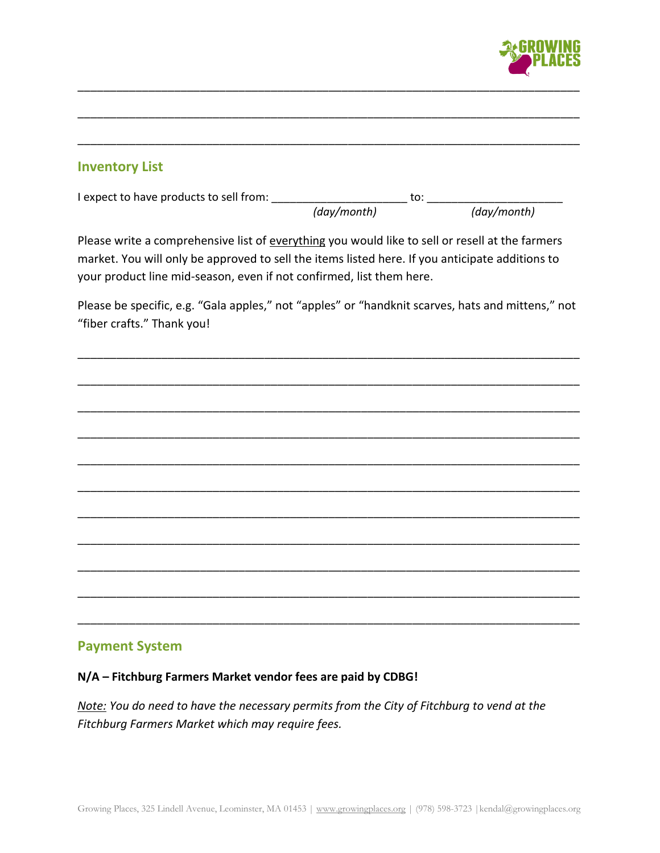

### **Inventory List**

I expect to have products to sell from: \_\_\_\_\_\_\_\_\_\_\_\_\_\_\_\_\_\_\_\_\_\_ to: \_\_\_\_\_\_\_\_\_\_\_\_\_\_\_\_\_\_\_\_\_\_  *(day/month) (day/month)* 

\_\_\_\_\_\_\_\_\_\_\_\_\_\_\_\_\_\_\_\_\_\_\_\_\_\_\_\_\_\_\_\_\_\_\_\_\_\_\_\_\_\_\_\_\_\_\_\_\_\_\_\_\_\_\_\_\_\_\_\_\_\_\_\_\_\_\_\_\_\_\_\_\_\_\_\_\_\_

\_\_\_\_\_\_\_\_\_\_\_\_\_\_\_\_\_\_\_\_\_\_\_\_\_\_\_\_\_\_\_\_\_\_\_\_\_\_\_\_\_\_\_\_\_\_\_\_\_\_\_\_\_\_\_\_\_\_\_\_\_\_\_\_\_\_\_\_\_\_\_\_\_\_\_\_\_\_

\_\_\_\_\_\_\_\_\_\_\_\_\_\_\_\_\_\_\_\_\_\_\_\_\_\_\_\_\_\_\_\_\_\_\_\_\_\_\_\_\_\_\_\_\_\_\_\_\_\_\_\_\_\_\_\_\_\_\_\_\_\_\_\_\_\_\_\_\_\_\_\_\_\_\_\_\_\_

Please write a comprehensive list of everything you would like to sell or resell at the farmers market. You will only be approved to sell the items listed here. If you anticipate additions to your product line mid-season, even if not confirmed, list them here.

Please be specific, e.g. "Gala apples," not "apples" or "handknit scarves, hats and mittens," not "fiber crafts." Thank you!

\_\_\_\_\_\_\_\_\_\_\_\_\_\_\_\_\_\_\_\_\_\_\_\_\_\_\_\_\_\_\_\_\_\_\_\_\_\_\_\_\_\_\_\_\_\_\_\_\_\_\_\_\_\_\_\_\_\_\_\_\_\_\_\_\_\_\_\_\_\_\_\_\_\_\_\_\_\_

\_\_\_\_\_\_\_\_\_\_\_\_\_\_\_\_\_\_\_\_\_\_\_\_\_\_\_\_\_\_\_\_\_\_\_\_\_\_\_\_\_\_\_\_\_\_\_\_\_\_\_\_\_\_\_\_\_\_\_\_\_\_\_\_\_\_\_\_\_\_\_\_\_\_\_\_\_\_

\_\_\_\_\_\_\_\_\_\_\_\_\_\_\_\_\_\_\_\_\_\_\_\_\_\_\_\_\_\_\_\_\_\_\_\_\_\_\_\_\_\_\_\_\_\_\_\_\_\_\_\_\_\_\_\_\_\_\_\_\_\_\_\_\_\_\_\_\_\_\_\_\_\_\_\_\_\_

\_\_\_\_\_\_\_\_\_\_\_\_\_\_\_\_\_\_\_\_\_\_\_\_\_\_\_\_\_\_\_\_\_\_\_\_\_\_\_\_\_\_\_\_\_\_\_\_\_\_\_\_\_\_\_\_\_\_\_\_\_\_\_\_\_\_\_\_\_\_\_\_\_\_\_\_\_\_

\_\_\_\_\_\_\_\_\_\_\_\_\_\_\_\_\_\_\_\_\_\_\_\_\_\_\_\_\_\_\_\_\_\_\_\_\_\_\_\_\_\_\_\_\_\_\_\_\_\_\_\_\_\_\_\_\_\_\_\_\_\_\_\_\_\_\_\_\_\_\_\_\_\_\_\_\_\_

\_\_\_\_\_\_\_\_\_\_\_\_\_\_\_\_\_\_\_\_\_\_\_\_\_\_\_\_\_\_\_\_\_\_\_\_\_\_\_\_\_\_\_\_\_\_\_\_\_\_\_\_\_\_\_\_\_\_\_\_\_\_\_\_\_\_\_\_\_\_\_\_\_\_\_\_\_\_

\_\_\_\_\_\_\_\_\_\_\_\_\_\_\_\_\_\_\_\_\_\_\_\_\_\_\_\_\_\_\_\_\_\_\_\_\_\_\_\_\_\_\_\_\_\_\_\_\_\_\_\_\_\_\_\_\_\_\_\_\_\_\_\_\_\_\_\_\_\_\_\_\_\_\_\_\_\_

\_\_\_\_\_\_\_\_\_\_\_\_\_\_\_\_\_\_\_\_\_\_\_\_\_\_\_\_\_\_\_\_\_\_\_\_\_\_\_\_\_\_\_\_\_\_\_\_\_\_\_\_\_\_\_\_\_\_\_\_\_\_\_\_\_\_\_\_\_\_\_\_\_\_\_\_\_\_

\_\_\_\_\_\_\_\_\_\_\_\_\_\_\_\_\_\_\_\_\_\_\_\_\_\_\_\_\_\_\_\_\_\_\_\_\_\_\_\_\_\_\_\_\_\_\_\_\_\_\_\_\_\_\_\_\_\_\_\_\_\_\_\_\_\_\_\_\_\_\_\_\_\_\_\_\_\_

\_\_\_\_\_\_\_\_\_\_\_\_\_\_\_\_\_\_\_\_\_\_\_\_\_\_\_\_\_\_\_\_\_\_\_\_\_\_\_\_\_\_\_\_\_\_\_\_\_\_\_\_\_\_\_\_\_\_\_\_\_\_\_\_\_\_\_\_\_\_\_\_\_\_\_\_\_\_

\_\_\_\_\_\_\_\_\_\_\_\_\_\_\_\_\_\_\_\_\_\_\_\_\_\_\_\_\_\_\_\_\_\_\_\_\_\_\_\_\_\_\_\_\_\_\_\_\_\_\_\_\_\_\_\_\_\_\_\_\_\_\_\_\_\_\_\_\_\_\_\_\_\_\_\_\_\_

#### **Payment System**

**N/A – Fitchburg Farmers Market vendor fees are paid by CDBG!**

*Note: You do need to have the necessary permits from the City of Fitchburg to vend at the Fitchburg Farmers Market which may require fees.*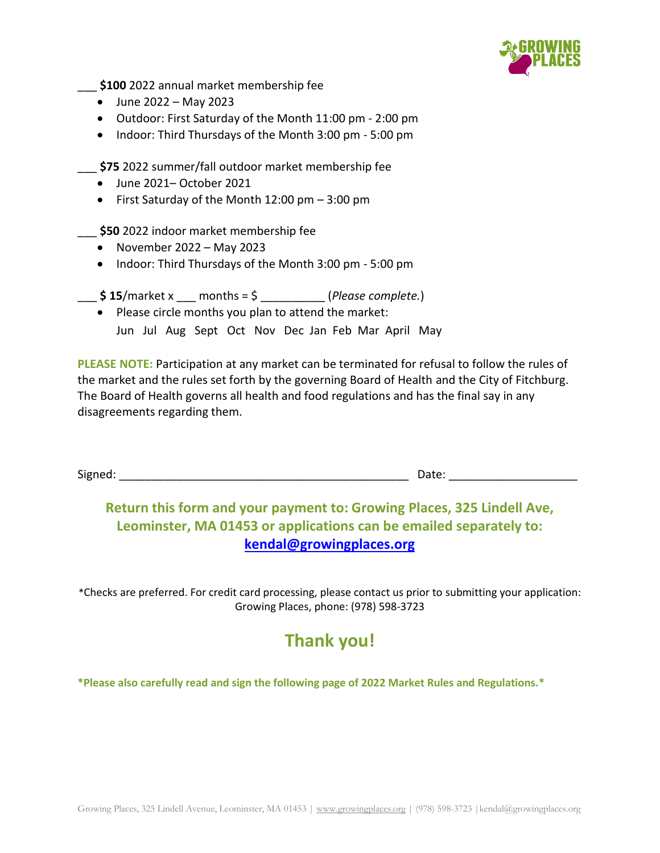

\_\_\_ **\$100** 2022 annual market membership fee

- June 2022 May 2023
- Outdoor: First Saturday of the Month 11:00 pm 2:00 pm
- Indoor: Third Thursdays of the Month 3:00 pm 5:00 pm

\_\_\_ **\$75** 2022 summer/fall outdoor market membership fee

- June 2021– October 2021
- First Saturday of the Month 12:00 pm 3:00 pm

\_\_\_ **\$50** 2022 indoor market membership fee

- November  $2022 May 2023$
- Indoor: Third Thursdays of the Month 3:00 pm 5:00 pm
- $$ 15/m$ arket x months =  $$$  (*Please complete.*)
	- Please circle months you plan to attend the market: Jun Jul Aug Sept Oct Nov Dec Jan Feb Mar April May

**PLEASE NOTE:** Participation at any market can be terminated for refusal to follow the rules of the market and the rules set forth by the governing Board of Health and the City of Fitchburg. The Board of Health governs all health and food regulations and has the final say in any disagreements regarding them.

Signed: \_\_\_\_\_\_\_\_\_\_\_\_\_\_\_\_\_\_\_\_\_\_\_\_\_\_\_\_\_\_\_\_\_\_\_\_\_\_\_\_\_\_\_\_\_ Date: \_\_\_\_\_\_\_\_\_\_\_\_\_\_\_\_\_\_\_\_

## **Return this form and your payment to: Growing Places, 325 Lindell Ave, Leominster, MA 01453 or applications can be emailed separately to: [kendal@growingplaces.org](mailto:farmers@growingplaces.org)**

\*Checks are preferred. For credit card processing, please contact us prior to submitting your application: Growing Places, phone: (978) 598-3723

## **Thank you!**

**\*Please also carefully read and sign the following page of 2022 Market Rules and Regulations.\***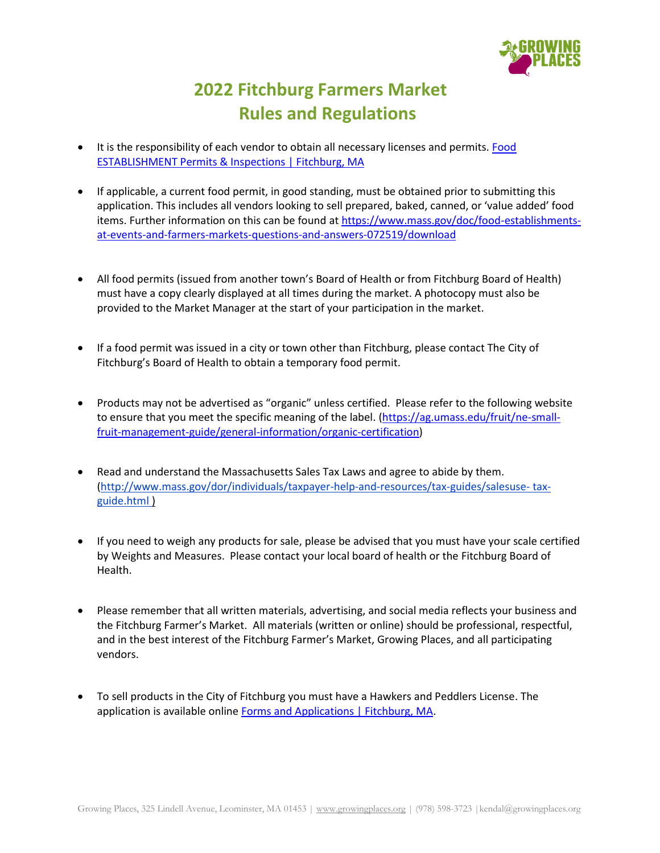

# **2022 Fitchburg Farmers Market Rules and Regulations**

- It is the responsibility of each vendor to obtain all necessary licenses and permits. [Food](http://www.ci.fitchburg.ma.us/694/Food-Inspection-Division)  [ESTABLISHMENT Permits & Inspections | Fitchburg, MA](http://www.ci.fitchburg.ma.us/694/Food-Inspection-Division)
- If applicable, a current food permit, in good standing, must be obtained prior to submitting this application. This includes all vendors looking to sell prepared, baked, canned, or 'value added' food items. Further information on this can be found at [https://www.mass.gov/doc/food-establishments](https://www.mass.gov/doc/food-establishments-at-events-and-farmers-markets-questions-and-answers-072519/download)[at-events-and-farmers-markets-questions-and-answers-072519/download](https://www.mass.gov/doc/food-establishments-at-events-and-farmers-markets-questions-and-answers-072519/download)
- All food permits (issued from another town's Board of Health or from Fitchburg Board of Health) must have a copy clearly displayed at all times during the market. A photocopy must also be provided to the Market Manager at the start of your participation in the market.
- If a food permit was issued in a city or town other than Fitchburg, please contact The City of Fitchburg's Board of Health to obtain a temporary food permit.
- Products may not be advertised as "organic" unless certified. Please refer to the following website to ensure that you meet the specific meaning of the label. [\(https://ag.umass.edu/fruit/ne-small](https://ag.umass.edu/fruit/ne-small-fruit-management-guide/general-information/organic-certification)[fruit-management-guide/general-information/organic-certification\)](https://ag.umass.edu/fruit/ne-small-fruit-management-guide/general-information/organic-certification)
- Read and understand the Massachusetts Sales Tax Laws and agree to abide by them. [\(http://www.mass.gov/dor/individuals/taxpayer-help-and-resources/tax-guides/salesuse-](http://www.mass.gov/dor/individuals/taxpayer-help-and-resources/tax-guides/salesuse-%20tax-guide.html) tax[guide.html](http://www.mass.gov/dor/individuals/taxpayer-help-and-resources/tax-guides/salesuse-%20tax-guide.html) )
- If you need to weigh any products for sale, please be advised that you must have your scale certified by Weights and Measures. Please contact your local board of health or the Fitchburg Board of Health.
- Please remember that all written materials, advertising, and social media reflects your business and the Fitchburg Farmer's Market. All materials (written or online) should be professional, respectful, and in the best interest of the Fitchburg Farmer's Market, Growing Places, and all participating vendors.
- To sell products in the City of Fitchburg you must have a Hawkers and Peddlers License. The application is available online [Forms and Applications | Fitchburg, MA.](http://www.ci.fitchburg.ma.us/643/Forms-and-Applications)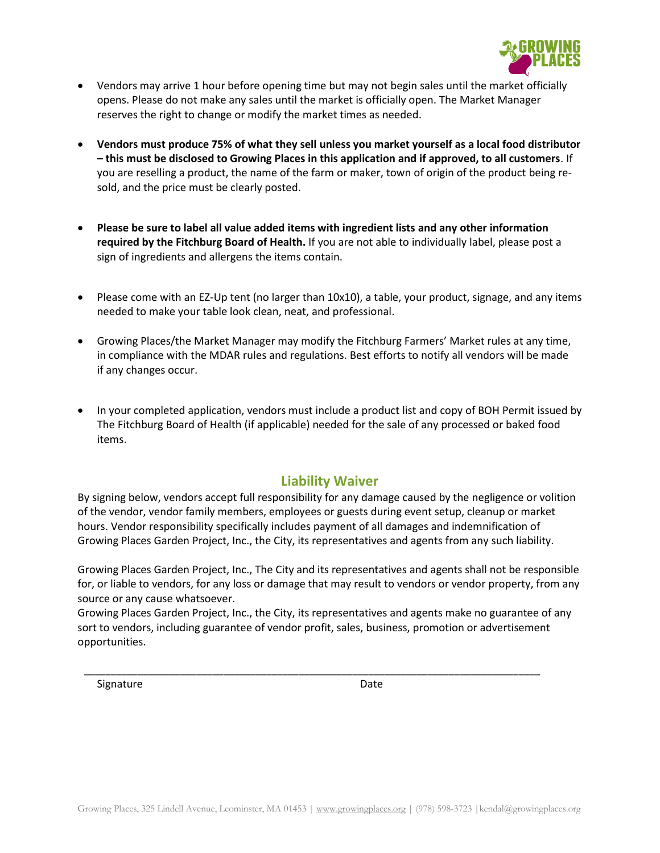

- Vendors may arrive 1 hour before opening time but may not begin sales until the market officially opens. Please do not make any sales until the market is officially open. The Market Manager reserves the right to change or modify the market times as needed.
- **Vendors must produce 75% of what they sell unless you market yourself as a local food distributor – this must be disclosed to Growing Places in this application and if approved, to all customers**. If you are reselling a product, the name of the farm or maker, town of origin of the product being resold, and the price must be clearly posted.
- **Please be sure to label all value added items with ingredient lists and any other information required by the Fitchburg Board of Health.** If you are not able to individually label, please post a sign of ingredients and allergens the items contain.
- Please come with an EZ-Up tent (no larger than 10x10), a table, your product, signage, and any items needed to make your table look clean, neat, and professional.
- Growing Places/the Market Manager may modify the Fitchburg Farmers' Market rules at any time, in compliance with the MDAR rules and regulations. Best efforts to notify all vendors will be made if any changes occur.
- In your completed application, vendors must include a product list and copy of BOH Permit issued by The Fitchburg Board of Health (if applicable) needed for the sale of any processed or baked food items.

#### **Liability Waiver**

By signing below, vendors accept full responsibility for any damage caused by the negligence or volition of the vendor, vendor family members, employees or guests during event setup, cleanup or market hours. Vendor responsibility specifically includes payment of all damages and indemnification of Growing Places Garden Project, Inc., the City, its representatives and agents from any such liability.

Growing Places Garden Project, Inc., The City and its representatives and agents shall not be responsible for, or liable to vendors, for any loss or damage that may result to vendors or vendor property, from any source or any cause whatsoever.

Growing Places Garden Project, Inc., the City, its representatives and agents make no guarantee of any sort to vendors, including guarantee of vendor profit, sales, business, promotion or advertisement opportunities.

\_\_\_\_\_\_\_\_\_\_\_\_\_\_\_\_\_\_\_\_\_\_\_\_\_\_\_\_\_\_\_\_\_\_\_\_\_\_\_\_\_\_\_\_\_\_\_\_\_\_\_\_\_\_\_\_\_\_\_\_\_\_\_\_\_\_\_\_\_\_\_\_\_\_\_\_\_\_\_\_\_\_\_\_\_

Signature Date Date